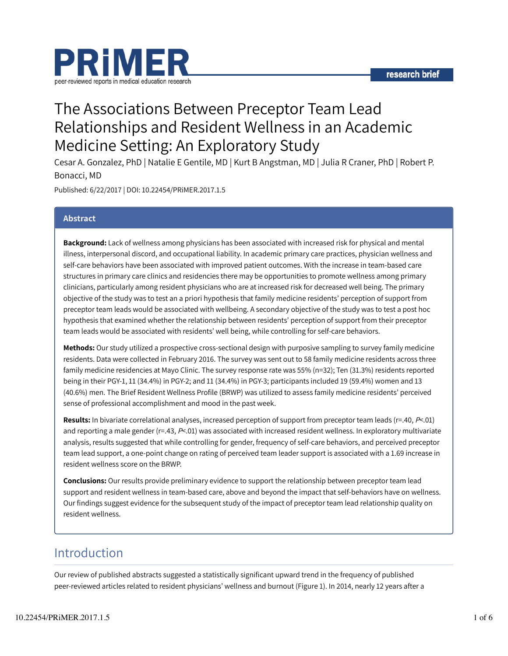

# The Associations Between Preceptor Team Lead Relationships and Resident Wellness in an Academic Medicine Setting: An Exploratory Study

Cesar A. Gonzalez, PhD | Natalie E Gentile, MD | Kurt B Angstman, MD | Julia R Craner, PhD | Robert P. Bonacci, MD

Published: 6/22/2017 | DOI: 10.22454/PRiMER.2017.1.5

### Abstract

Background: Lack of wellness among physicians has been associated with increased risk for physical and mental illness, interpersonal discord, and occupational liability. In academic primary care practices, physician wellness and self-care behaviors have been associated with improved patient outcomes. With the increase in team-based care structures in primary care clinics and residencies there may be opportunities to promote wellness among primary clinicians, particularly among resident physicians who are at increased risk for decreased well being. The primary objective of the study was to test an a priori hypothesis that family medicine residents' perception of support from preceptor team leads would be associated with wellbeing. A secondary objective of the study was to test a post hoc hypothesis that examined whether the relationship between residents' perception of support from their preceptor team leads would be associated with residents' well being, while controlling for self-care behaviors.

Methods: Our study utilized a prospective cross-sectional design with purposive sampling to survey family medicine residents. Data were collected in February 2016. The survey was sent out to 58 family medicine residents across three family medicine residencies at Mayo Clinic. The survey response rate was 55% (n=32); Ten (31.3%) residents reported being in their PGY-1, 11 (34.4%) in PGY-2; and 11 (34.4%) in PGY-3; participants included 19 (59.4%) women and 13 (40.6%) men. The Brief Resident Wellness Profile (BRWP) was utilized to assess family medicine residents' perceived sense of professional accomplishment and mood in the past week.

Results: In bivariate correlational analyses, increased perception of support from preceptor team leads ( $r=.40, P<.01$ ) and reporting a male gender ( $r=43$ ,  $P<01$ ) was associated with increased resident wellness. In exploratory multivariate analysis, results suggested that while controlling for gender, frequency of self-care behaviors, and perceived preceptor team lead support, a one-point change on rating of perceived team leader support is associated with a 1.69 increase in resident wellness score on the BRWP.

**Conclusions:** Our results provide preliminary evidence to support the relationship between preceptor team lead support and resident wellness in team-based care, above and beyond the impact that self-behaviors have on wellness. Our findings suggest evidence for the subsequent study of the impact of preceptor team lead relationship quality on resident wellness.

### Introduction

Our review of published abstracts suggested a statistically significant upward trend in the frequency of published peer-reviewed articles related to resident physicians' wellness and burnout (Figure 1). In 2014, nearly 12 years after a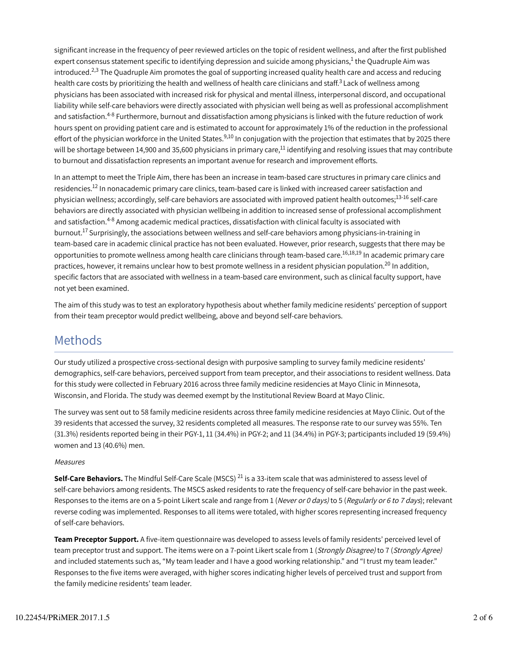significant increase in the frequency of peer reviewed articles on the topic of resident wellness, and after the first published expert consensus statement specific to identifying depression and suicide among physicians,<sup>1</sup> the Quadruple Aim was introduced. $^{2,3}$  The Quadruple Aim promotes the goal of supporting increased quality health care and access and reducing health care costs by prioritizing the health and wellness of health care clinicians and staff.<sup>3</sup> Lack of wellness among physicians has been associated with increased risk for physical and mental illness, interpersonal discord, and occupational liability while self-care behaviors were directly associated with physician well being as well as professional accomplishment and satisfaction.<sup>4-8</sup> Furthermore, burnout and dissatisfaction among physicians is linked with the future reduction of work hours spent on providing patient care and is estimated to account for approximately 1% of the reduction in the professional effort of the physician workforce in the United States.<sup>9,10</sup> In conjugation with the projection that estimates that by 2025 there will be shortage between 14,900 and 35,600 physicians in primary care, $^{\rm 11}$  identifying and resolving issues that may contribute to burnout and dissatisfaction represents an important avenue for research and improvement efforts.

In an attempt to meet the Triple Aim, there has been an increase in team-based care structures in primary care clinics and residencies.<sup>12</sup> In nonacademic primary care clinics, team-based care is linked with increased career satisfaction and physician wellness; accordingly, self-care behaviors are associated with improved patient health outcomes;<sup>13-16</sup> self-care behaviors are directly associated with physician wellbeing in addition to increased sense of professional accomplishment and satisfaction.<sup>4-8</sup> Among academic medical practices, dissatisfaction with clinical faculty is associated with burnout.<sup>17</sup> Surprisingly, the associations between wellness and self-care behaviors among physicians-in-training in team-based care in academic clinical practice has not been evaluated. However, prior research, suggests that there may be opportunities to promote wellness among health care clinicians through team-based care.<sup>16,18,19</sup> In academic primary care practices, however, it remains unclear how to best promote wellness in a resident physician population.<sup>20</sup> In addition, specific factors that are associated with wellness in a team-based care environment, such as clinical faculty support, have not yet been examined.

The aim of this study was to test an exploratory hypothesis about whether family medicine residents' perception of support from their team preceptor would predict wellbeing, above and beyond self-care behaviors.

### Methods

Our study utilized a prospective cross-sectional design with purposive sampling to survey family medicine residents' demographics, self-care behaviors, perceived support from team preceptor, and their associations to resident wellness. Data for this study were collected in February 2016 across three family medicine residencies at Mayo Clinic in Minnesota, Wisconsin, and Florida. The study was deemed exempt by the Institutional Review Board at Mayo Clinic.

The survey was sent out to 58 family medicine residents across three family medicine residencies at Mayo Clinic. Out of the 39 residents that accessed the survey, 32 residents completed all measures. The response rate to our survey was 55%. Ten (31.3%) residents reported being in their PGY-1, 11 (34.4%) in PGY-2; and 11 (34.4%) in PGY-3; participants included 19 (59.4%) women and 13 (40.6%) men.

#### Measures

Self-Care Behaviors. The Mindful Self-Care Scale (MSCS) <sup>21</sup> is a 33-item scale that was administered to assess level of self-care behaviors among residents. The MSCS asked residents to rate the frequency of self-care behavior in the past week. Responses to the items are on a 5-point Likert scale and range from 1 (Never or 0 days) to 5 (Regularly or 6 to 7 days); relevant reverse coding was implemented. Responses to all items were totaled, with higher scores representing increased frequency of self-care behaviors.

Team Preceptor Support. A five-item questionnaire was developed to assess levels of family residents' perceived level of team preceptor trust and support. The items were on a 7-point Likert scale from 1 (Strongly Disagree) to 7 (Strongly Agree) and included statements such as, "My team leader and I have a good working relationship." and "I trust my team leader." Responses to the five items were averaged, with higher scores indicating higher levels of perceived trust and support from the family medicine residents' team leader.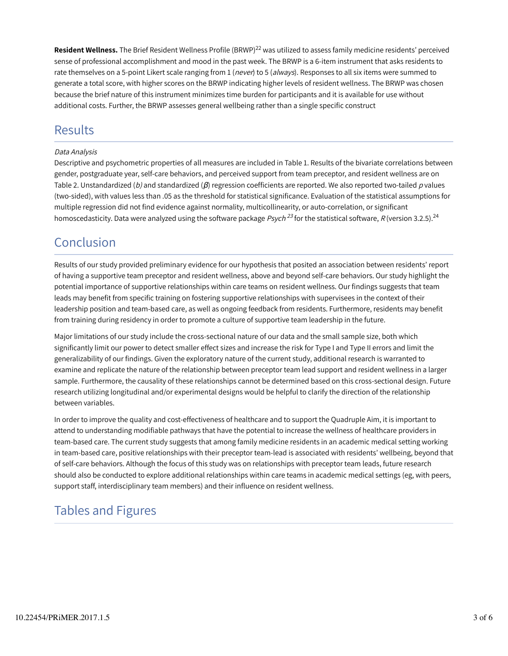Resident Wellness. The Brief Resident Wellness Profile (BRWP)<sup>22</sup> was utilized to assess family medicine residents' perceived sense of professional accomplishment and mood in the past week. The BRWP is a 6-item instrument that asks residents to rate themselves on a 5-point Likert scale ranging from 1 (never) to 5 (always). Responses to all six items were summed to generate a total score, with higher scores on the BRWP indicating higher levels of resident wellness. The BRWP was chosen because the brief nature of this instrument minimizes time burden for participants and it is available for use without additional costs. Further, the BRWP assesses general wellbeing rather than a single specific construct

## Results

#### Data Analysis

Descriptive and psychometric properties of all measures are included in Table 1. Results of the bivariate correlations between gender, postgraduate year, self-care behaviors, and perceived support from team preceptor, and resident wellness are on Table 2. Unstandardized (b) and standardized ( $\beta$ ) regression coefficients are reported. We also reported two-tailed p values (two-sided), with values less than .05 as the threshold for statistical significance. Evaluation of the statistical assumptions for multiple regression did not find evidence against normality, multicollinearity, or auto-correlation, or significant homoscedasticity. Data were analyzed using the software package *Psych <sup>23</sup>* for the statistical software, *R* (version 3.2.5).<sup>24</sup>

## Conclusion

Results of our study provided preliminary evidence for our hypothesis that posited an association between residents' report of having a supportive team preceptor and resident wellness, above and beyond self-care behaviors. Our study highlight the potential importance of supportive relationships within care teams on resident wellness. Our findings suggests that team leads may benefit from specific training on fostering supportive relationships with supervisees in the context of their leadership position and team-based care, as well as ongoing feedback from residents. Furthermore, residents may benefit from training during residency in order to promote a culture of supportive team leadership in the future.

Major limitations of our study include the cross-sectional nature of our data and the small sample size, both which significantly limit our power to detect smaller effect sizes and increase the risk for Type I and Type II errors and limit the generalizability of our findings. Given the exploratory nature of the current study, additional research is warranted to examine and replicate the nature of the relationship between preceptor team lead support and resident wellness in a larger sample. Furthermore, the causality of these relationships cannot be determined based on this cross-sectional design. Future research utilizing longitudinal and/or experimental designs would be helpful to clarify the direction of the relationship between variables.

In order to improve the quality and cost-effectiveness of healthcare and to support the Quadruple Aim, it is important to attend to understanding modifiable pathways that have the potential to increase the wellness of healthcare providers in team-based care. The current study suggests that among family medicine residents in an academic medical setting working in team-based care, positive relationships with their preceptor team-lead is associated with residents' wellbeing, beyond that of self-care behaviors. Although the focus of this study was on relationships with preceptor team leads, future research should also be conducted to explore additional relationships within care teams in academic medical settings (eg, with peers, support staff, interdisciplinary team members) and their influence on resident wellness.

# Tables and Figures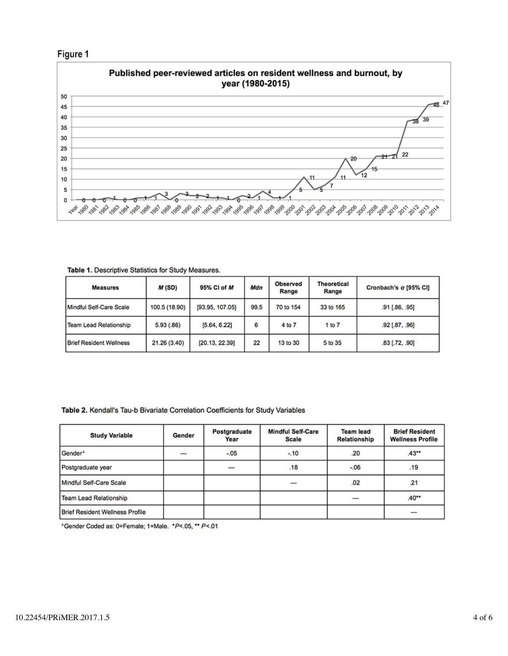



Table 1. Descriptive Statistics for Study Measures.

| <b>Measures</b>                | M(SD)         | 95% CI of M     | Mdn  | <b>Observed</b><br>Range | <b>Theoretical</b><br>Range | Cronbach's a [95% CI] |
|--------------------------------|---------------|-----------------|------|--------------------------|-----------------------------|-----------------------|
| Mindful Self-Care Scale        | 100.5 (18.90) | [93.95, 107.05] | 99.5 | 70 to 154                | 33 to 165                   | .91 [.86, .95]        |
| <b>Team Lead Relationship</b>  | 5.93(0.86)    | [5.64, 6.22]    | 6    | 4 to 7                   | 1 to 7                      | .92 [.87, .96]        |
| <b>Brief Resident Wellness</b> | 21.26 (3.40)  | [20.13, 22.39]  | 22   | 13 to 30                 | 5 to 35                     | $.83$ [.72, .90]      |

Table 2. Kendall's Tau-b Bivariate Correlation Coefficients for Study Variables

| <b>Study Variable</b>                  | Gender | Postgraduate<br>Year | <b>Mindful Self-Care</b><br><b>Scale</b> | <b>Team lead</b><br><b>Relationship</b> | <b>Brief Resident</b><br><b>Wellness Profile</b> |
|----------------------------------------|--------|----------------------|------------------------------------------|-----------------------------------------|--------------------------------------------------|
| Gender <sup>a</sup>                    |        | $-.05$               | $-.10$                                   | .20                                     | $.43**$                                          |
| Postgraduate year                      |        |                      | .18                                      | $-0.06$                                 | .19                                              |
| Mindful Self-Care Scale                |        |                      |                                          | .02                                     | .21                                              |
| <b>Team Lead Relationship</b>          |        |                      |                                          |                                         | $.40**$                                          |
| <b>Brief Resident Wellness Profile</b> |        |                      |                                          |                                         |                                                  |

<sup>a</sup>Gender Coded as: 0=Female; 1=Male. \*P<.05, \*\* P<.01.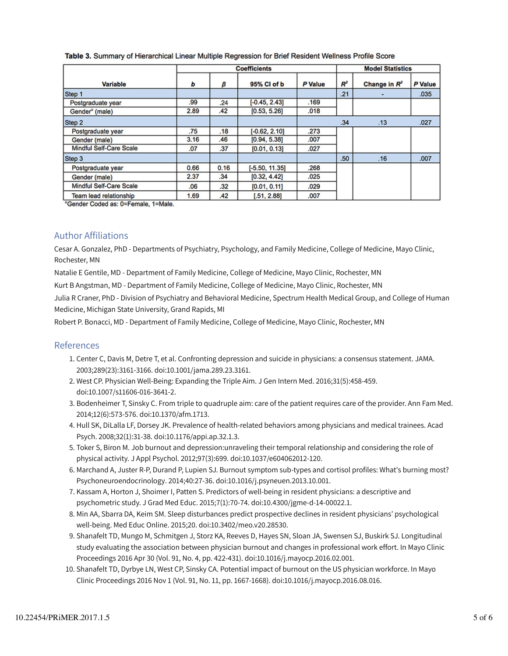|                                | <b>Coefficients</b> |      |                  |         |       | <b>Model Statistics</b> |         |  |
|--------------------------------|---------------------|------|------------------|---------|-------|-------------------------|---------|--|
| <b>Variable</b>                | ь                   | β    | 95% Cl of b      | P Value | $R^2$ | Change in $R^2$         | P Value |  |
| Step 1                         |                     |      |                  |         | .21   |                         | .035    |  |
| Postgraduate year              | .99                 | .24  | $[-0.45, 2.43]$  | .169    |       |                         |         |  |
| Gender <sup>a</sup> (male)     | 2.89                | .42  | [0.53, 5.26]     | .018    |       |                         |         |  |
| Step 2                         |                     |      |                  |         | .34   | .13                     | .027    |  |
| Postgraduate year              | .75                 | .18  | $[-0.62, 2.10]$  | .273    |       |                         |         |  |
| Gender (male)                  | 3.16                | .46  | [0.94, 5.38]     | .007    |       |                         |         |  |
| <b>Mindful Self-Care Scale</b> | .07                 | .37  | [0.01, 0.13]     | .027    |       |                         |         |  |
| Step 3                         |                     |      |                  |         | .50   | .16                     | .007    |  |
| Postgraduate year              | 0.66                | 0.16 | $[-5.50, 11.35]$ | .268    |       |                         |         |  |
| Gender (male)                  | 2.37                | .34  | [0.32, 4.42]     | .025    |       |                         |         |  |
| <b>Mindful Self-Care Scale</b> | .06                 | .32  | [0.01, 0.11]     | .029    |       |                         |         |  |
| Team lead relationship         | 1.69                | .42  | [.51, 2.88]      | .007    |       |                         |         |  |

#### Table 3. Summary of Hierarchical Linear Multiple Regression for Brief Resident Wellness Profile Score

<sup>a</sup>Gender Coded as: 0=Female, 1=Male.

### Author Affiliations

Cesar A. Gonzalez, PhD - Departments of Psychiatry, Psychology, and Family Medicine, College of Medicine, Mayo Clinic, Rochester, MN

Natalie E Gentile, MD - Department of Family Medicine, College of Medicine, Mayo Clinic, Rochester, MN

Kurt B Angstman, MD - Department of Family Medicine, College of Medicine, Mayo Clinic, Rochester, MN

Julia R Craner, PhD - Division of Psychiatry and Behavioral Medicine, Spectrum Health Medical Group, and College of Human Medicine, Michigan State University, Grand Rapids, MI

Robert P. Bonacci, MD - Department of Family Medicine, College of Medicine, Mayo Clinic, Rochester, MN

#### References

- 1. Center C, Davis M, Detre T, et al. Confronting depression and suicide in physicians: a consensus statement. JAMA. 2003;289(23):3161-3166. doi:10.1001/jama.289.23.3161.
- West CP. Physician Well-Being: Expanding the Triple Aim. J Gen Intern Med. 2016;31(5):458-459. 2. doi:10.1007/s11606-016-3641-2.
- 3. Bodenheimer T, Sinsky C. From triple to quadruple aim: care of the patient requires care of the provider. Ann Fam Med. 2014;12(6):573-576. doi:10.1370/afm.1713.
- Hull SK, DiLalla LF, Dorsey JK. Prevalence of health-related behaviors among physicians and medical trainees. Acad 4. Psych. 2008;32(1):31-38. doi:10.1176/appi.ap.32.1.3.
- 5. Toker S, Biron M. Job burnout and depression:unraveling their temporal relationship and considering the role of physical activity. J Appl Psychol. 2012;97(3):699. doi:10.1037/e604062012-120.
- 6. Marchand A, Juster R-P, Durand P, Lupien SJ. Burnout symptom sub-types and cortisol profiles: What's burning most? Psychoneuroendocrinology. 2014;40:27-36. doi:10.1016/j.psyneuen.2013.10.001.
- 7. Kassam A, Horton J, Shoimer I, Patten S. Predictors of well-being in resident physicians: a descriptive and psychometric study. J Grad Med Educ. 2015;7(1):70-74. doi:10.4300/jgme-d-14-00022.1.
- 8. Min AA, Sbarra DA, Keim SM. Sleep disturbances predict prospective declines in resident physicians' psychological well-being. Med Educ Online. 2015;20. doi:10.3402/meo.v20.28530.
- 9. Shanafelt TD, Mungo M, Schmitgen J, Storz KA, Reeves D, Hayes SN, Sloan JA, Swensen SJ, Buskirk SJ. Longitudinal study evaluating the association between physician burnout and changes in professional work effort. In Mayo Clinic Proceedings 2016 Apr 30 (Vol. 91, No. 4, pp. 422-431). doi:10.1016/j.mayocp.2016.02.001.
- 10. Shanafelt TD, Dyrbye LN, West CP, Sinsky CA. Potential impact of burnout on the US physician workforce. In Mayo Clinic Proceedings 2016 Nov 1 (Vol. 91, No. 11, pp. 1667-1668). doi:10.1016/j.mayocp.2016.08.016.